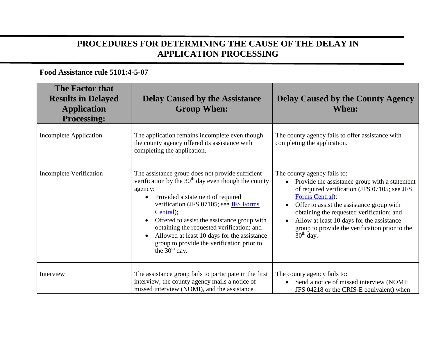## **PROCEDURES FOR DETERMINING THE CAUSE OF THE DELAY IN APPLICATION PROCESSING**

## **Food Assistance rule 5101:4-5-07**

| The Factor that<br><b>Results in Delayed</b><br><b>Application</b><br><b>Processing:</b> | <b>Delay Caused by the Assistance</b><br><b>Group When:</b>                                                                                                                                                                                                                                                                                                                                                                                                        | <b>Delay Caused by the County Agency</b><br><b>When:</b>                                                                                                                                                                                                                                                                                                                          |
|------------------------------------------------------------------------------------------|--------------------------------------------------------------------------------------------------------------------------------------------------------------------------------------------------------------------------------------------------------------------------------------------------------------------------------------------------------------------------------------------------------------------------------------------------------------------|-----------------------------------------------------------------------------------------------------------------------------------------------------------------------------------------------------------------------------------------------------------------------------------------------------------------------------------------------------------------------------------|
| <b>Incomplete Application</b>                                                            | The application remains incomplete even though<br>the county agency offered its assistance with<br>completing the application.                                                                                                                                                                                                                                                                                                                                     | The county agency fails to offer assistance with<br>completing the application.                                                                                                                                                                                                                                                                                                   |
| <b>Incomplete Verification</b>                                                           | The assistance group does not provide sufficient<br>verification by the $30th$ day even though the county<br>agency:<br>Provided a statement of required<br>$\bullet$<br>verification (JFS 07105; see JFS Forms<br>Central);<br>Offered to assist the assistance group with<br>$\bullet$<br>obtaining the requested verification; and<br>Allowed at least 10 days for the assistance<br>$\bullet$<br>group to provide the verification prior to<br>the $30th$ day. | The county agency fails to:<br>Provide the assistance group with a statement<br>$\bullet$<br>of required verification (JFS 07105; see JFS<br>Forms Central);<br>Offer to assist the assistance group with<br>$\bullet$<br>obtaining the requested verification; and<br>Allow at least 10 days for the assistance<br>group to provide the verification prior to the<br>$30th$ day. |
| Interview                                                                                | The assistance group fails to participate in the first<br>interview, the county agency mails a notice of<br>missed interview (NOMI), and the assistance                                                                                                                                                                                                                                                                                                            | The county agency fails to:<br>Send a notice of missed interview (NOMI;<br>$\bullet$<br>JFS 04218 or the CRIS-E equivalent) when                                                                                                                                                                                                                                                  |